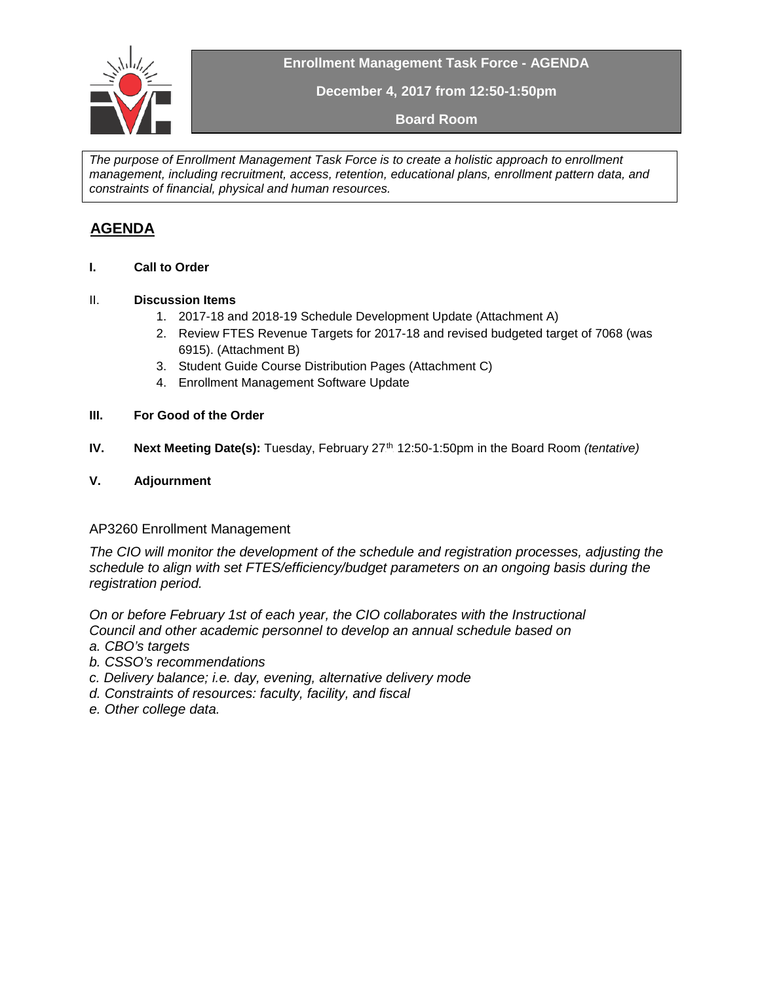

**Enrollment Management Task Force - AGENDA**

**December 4, 2017 from 12:50-1:50pm**

**Board Room**

*The purpose of Enrollment Management Task Force is to create a holistic approach to enrollment management, including recruitment, access, retention, educational plans, enrollment pattern data, and constraints of financial, physical and human resources.* 

# <sup>U</sup> **AGENDA**

**I. Call to Order**

### II. **Discussion Items**

- 1. 2017-18 and 2018-19 Schedule Development Update (Attachment A)
- 2. Review FTES Revenue Targets for 2017-18 and revised budgeted target of 7068 (was 6915). (Attachment B)
- 3. Student Guide Course Distribution Pages (Attachment C)
- 4. Enrollment Management Software Update

#### **III. For Good of the Order**

**IV.** Next Meeting Date(s): Tuesday, February 27<sup>th</sup> 12:50-1:50pm in the Board Room *(tentative)* 

### **V. Adjournment**

### AP3260 Enrollment Management

*The CIO will monitor the development of the schedule and registration processes, adjusting the schedule to align with set FTES/efficiency/budget parameters on an ongoing basis during the registration period.*

*On or before February 1st of each year, the CIO collaborates with the Instructional Council and other academic personnel to develop an annual schedule based on a. CBO's targets*

- *b. CSSO's recommendations*
- *c. Delivery balance; i.e. day, evening, alternative delivery mode*
- *d. Constraints of resources: faculty, facility, and fiscal*
- *e. Other college data.*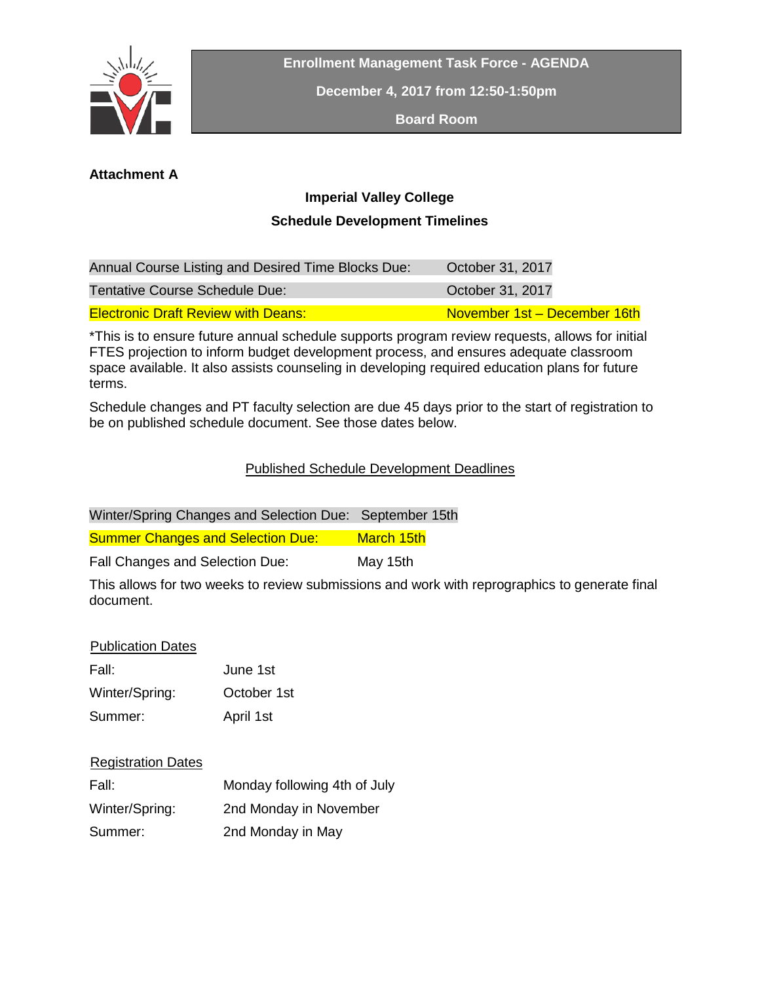

**Enrollment Management Task Force - AGENDA**

**December 4, 2017 from 12:50-1:50pm**

**Board Room**

### **Attachment A**

# **Imperial Valley College Schedule Development Timelines**

| Annual Course Listing and Desired Time Blocks Due: | October 31, 2017             |
|----------------------------------------------------|------------------------------|
| Tentative Course Schedule Due:                     | October 31, 2017             |
| <b>Electronic Draft Review with Deans:</b>         | November 1st - December 16th |

\*This is to ensure future annual schedule supports program review requests, allows for initial FTES projection to inform budget development process, and ensures adequate classroom space available. It also assists counseling in developing required education plans for future terms.

Schedule changes and PT faculty selection are due 45 days prior to the start of registration to be on published schedule document. See those dates below.

### Published Schedule Development Deadlines

| Winter/Spring Changes and Selection Due: September 15th        |                   |  |  |
|----------------------------------------------------------------|-------------------|--|--|
| <b>Summer Changes and Selection Due:</b>                       | <b>March 15th</b> |  |  |
| Fall Changes and Selection Due:                                | May 15th          |  |  |
| This allows farture weaks to review orkeologicas and week with |                   |  |  |

This allows for two weeks to review submissions and work with reprographics to generate final document.

### **Publication Dates**

| Fall:          | June 1st    |  |
|----------------|-------------|--|
| Winter/Spring: | October 1st |  |
| Summer:        | April 1st   |  |

### **Registration Dates**

| Fall:          | Monday following 4th of July |
|----------------|------------------------------|
| Winter/Spring: | 2nd Monday in November       |
| Summer:        | 2nd Monday in May            |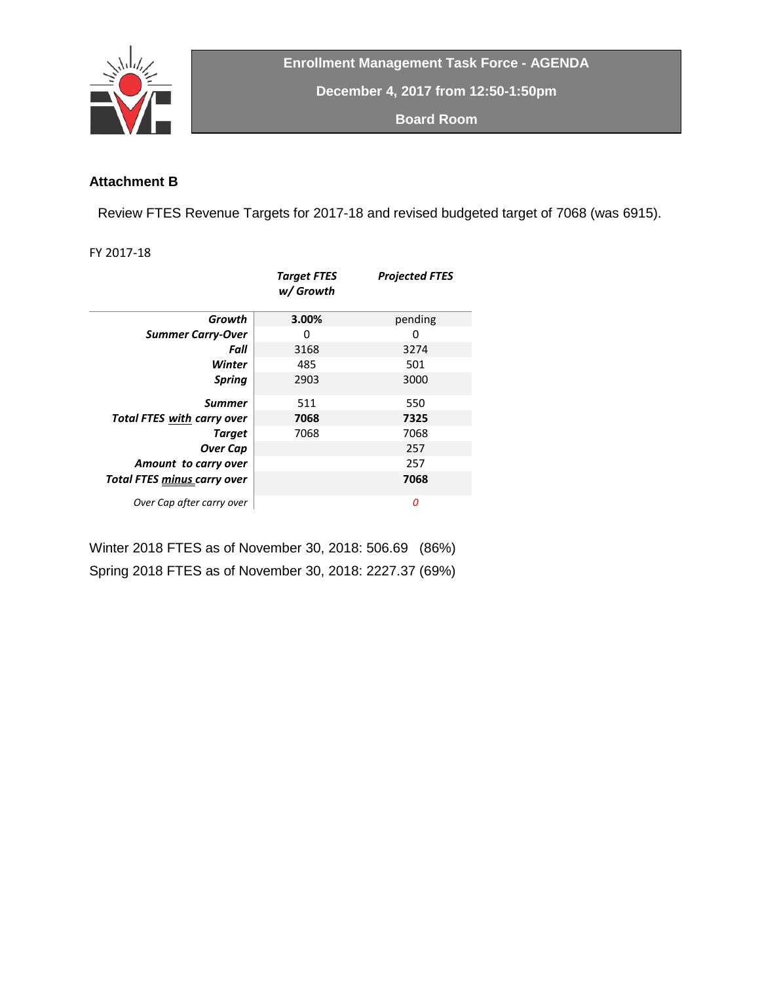

**Enrollment Management Task Force - AGENDA**

**December 4, 2017 from 12:50-1:50pm**

**Board Room**

### **Attachment B**

Review FTES Revenue Targets for 2017-18 and revised budgeted target of 7068 (was 6915).

FY 2017-18

|                                     | <b>Target FTES</b><br>w/ Growth | <b>Projected FTES</b> |
|-------------------------------------|---------------------------------|-----------------------|
| Growth                              | 3.00%                           | pending               |
| <b>Summer Carry-Over</b>            | 0                               | 0                     |
| Fall                                | 3168                            | 3274                  |
| Winter                              | 485                             | 501                   |
| <b>Spring</b>                       | 2903                            | 3000                  |
| <b>Summer</b>                       | 511                             | 550                   |
| <b>Total FTES with carry over</b>   | 7068                            | 7325                  |
| <b>Target</b>                       | 7068                            | 7068                  |
| <b>Over Cap</b>                     |                                 | 257                   |
| Amount to carry over                |                                 | 257                   |
| Total FTES <u>minus c</u> arry over |                                 | 7068                  |
| Over Cap after carry over           |                                 | 0                     |

Winter 2018 FTES as of November 30, 2018: 506.69 (86%) Spring 2018 FTES as of November 30, 2018: 2227.37 (69%)